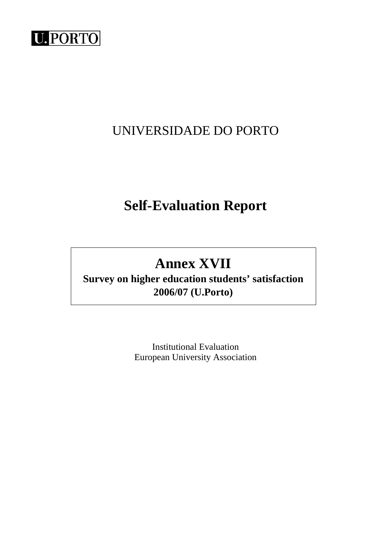

# UNIVERSIDADE DO PORTO

# **Self-Evaluation Report**

# **Annex XVII**

**Survey on higher education students' satisfaction 2006/07 (U.Porto)** 

> Institutional Evaluation European University Association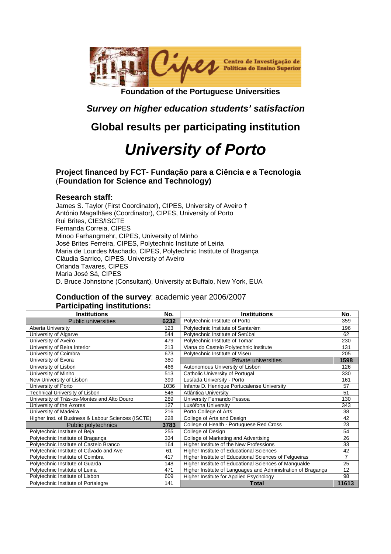

**Foundation of the Portuguese Universities** 

# **Survey on higher education students' satisfaction**

# **Global results per participating institution**

# **University of Porto**

**Project financed by FCT- Fundação para a Ciência e a Tecnologia** (**Foundation for Science and Technology)** 

## **Research staff:**

James S. Taylor (First Coordinator), CIPES, University of Aveiro † António Magalhães (Coordinator), CIPES, University of Porto Rui Brites, CIES/ISCTE Fernanda Correia, CIPES Minoo Farhangmehr, CIPES, University of Minho José Brites Ferreira, CIPES, Polytechnic Institute of Leiria Maria de Lourdes Machado, CIPES, Polytechnic Institute of Bragança Cláudia Sarrico, CIPES, University of Aveiro Orlanda Tavares, CIPES Maria José Sá, CIPES D. Bruce Johnstone (Consultant), University at Buffalo, New York, EUA

## **Conduction of the survey**: academic year 2006/2007 **Participating institutions:**

| <b>Institutions</b>                                | No.  | <b>Institutions</b>                                          | No.            |
|----------------------------------------------------|------|--------------------------------------------------------------|----------------|
| <b>Public universities</b>                         | 6232 | Polytechnic Institute of Porto                               | 359            |
| Aberta University                                  | 123  | Polytechnic Institute of Santarém                            | 196            |
| University of Algarve                              | 544  | Polytechnic Institute of Setúbal                             | 62             |
| University of Aveiro                               | 479  | Polytechnic Institute of Tomar                               | 230            |
| University of Beira Interior                       | 213  | Viana do Castelo Polytechnic Institute                       | 131            |
| University of Coimbra                              | 673  | Polytechnic Institute of Viseu                               | 205            |
| University of Évora                                | 380  | <b>Private universities</b>                                  | 1598           |
| University of Lisbon                               | 466  | Autonomous University of Lisbon                              | 126            |
| University of Minho                                | 513  | Catholic University of Portugal                              | 330            |
| New University of Lisbon                           | 399  | Lusíada University - Porto                                   | 161            |
| University of Porto                                | 1036 | Infante D. Henrique Portucalense University                  | 57             |
| Technical University of Lisbon                     | 546  | Atlântica University                                         | 51             |
| University of Trás-os-Montes and Alto Douro        | 289  | University Fernando Pessoa                                   | 130            |
| University of the Azores                           | 127  | Lusófona University                                          | 343            |
| University of Madeira                              | 216  | Porto College of Arts                                        | 38             |
| Higher Inst. of Business & Labour Sciences (ISCTE) | 228  | College of Arts and Design                                   | 42             |
| Public polytechnics                                | 3783 | College of Health - Portuguese Red Cross                     | 23             |
| Polytechnic Institute of Beja                      | 255  | College of Design                                            | 54             |
| Polytechnic Institute of Bragança                  | 334  | College of Marketing and Advertising                         | 26             |
| Polytechnic Institute of Castelo Branco            | 164  | Higher Institute of the New Professions                      | 33             |
| Polytechnic Institute of Cávado and Ave            | 61   | <b>Higher Institute of Educational Sciences</b>              | 42             |
| Polytechnic Institute of Coimbra                   | 417  | Higher Institute of Educational Sciences of Felgueiras       | $\overline{7}$ |
| Polytechnic Institute of Guarda                    | 148  | Higher Institute of Educational Sciences of Mangualde        | 25             |
| Polytechnic Institute of Leiria                    | 471  | Higher Institute of Languages and Administration of Bragança | 12             |
| Polytechnic Institute of Lisbon                    | 609  | Higher Institute for Applied Psychology                      | 98             |
| Polytechnic Institute of Portalegre                | 141  | <b>Total</b>                                                 | 11613          |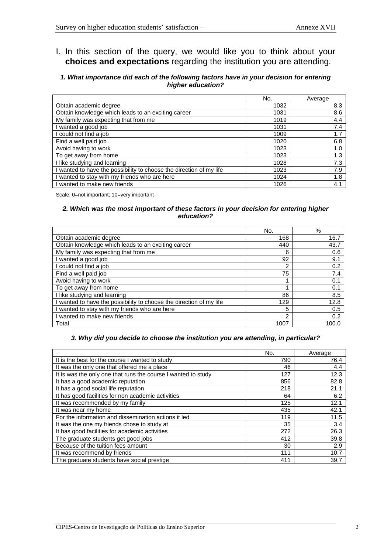## I. In this section of the query, we would like you to think about your **choices and expectations** regarding the institution you are attending.

## **1. What importance did each of the following factors have in your decision for entering higher education?**

|                                                                     | No.  | Average |
|---------------------------------------------------------------------|------|---------|
| Obtain academic degree                                              | 1032 | 8.3     |
| Obtain knowledge which leads to an exciting career                  | 1031 | 8.6     |
| My family was expecting that from me                                | 1019 | 4.4     |
| I wanted a good job                                                 | 1031 | 7.4     |
| I could not find a job                                              | 1009 | 1.7     |
| Find a well paid job                                                | 1020 | 6.8     |
| Avoid having to work                                                | 1023 | 1.0     |
| To get away from home                                               | 1023 | 1.3     |
| I like studying and learning                                        | 1028 | 7.3     |
| I wanted to have the possibility to choose the direction of my life | 1023 | 7.9     |
| I wanted to stay with my friends who are here                       | 1024 | 1.8     |
| I wanted to make new friends                                        | 1026 | 4.1     |

Scale: 0=not important; 10=very important

## **2. Which was the most important of these factors in your decision for entering higher education?**

|                                                                     | No.  | %     |
|---------------------------------------------------------------------|------|-------|
| Obtain academic degree                                              | 168  | 16.7  |
| Obtain knowledge which leads to an exciting career                  | 440  | 43.7  |
| My family was expecting that from me                                | 6    | 0.6   |
| I wanted a good job                                                 | 92   | 9.1   |
| I could not find a job                                              | 2    | 0.2   |
| Find a well paid job                                                | 75   | 7.4   |
| Avoid having to work                                                | 1    | 0.1   |
| To get away from home                                               | 4    | 0.1   |
| I like studying and learning                                        | 86   | 8.5   |
| I wanted to have the possibility to choose the direction of my life | 129  | 12.8  |
| I wanted to stay with my friends who are here                       | 5    | 0.5   |
| I wanted to make new friends                                        | 2    | 0.2   |
| Total                                                               | 1007 | 100.0 |

## **3. Why did you decide to choose the institution you are attending, in particular?**

|                                                               | No. | Average |
|---------------------------------------------------------------|-----|---------|
| It is the best for the course I wanted to study               | 790 | 76.4    |
| It was the only one that offered me a place                   | 46  | 4.4     |
| It is was the only one that runs the course I wanted to study | 127 | 12.3    |
| It has a good academic reputation                             | 856 | 82.8    |
| It has a good social life reputation                          | 218 | 21.1    |
| It has good facilities for non academic activities            | 64  | 6.2     |
| It was recommended by my family                               | 125 | 12.1    |
| It was near my home                                           | 435 | 42.1    |
| For the information and dissemination actions it led          | 119 | 11.5    |
| It was the one my friends chose to study at                   | 35  | 3.4     |
| It has good facilities for academic activities                | 272 | 26.3    |
| The graduate students get good jobs                           | 412 | 39.8    |
| Because of the tuition fees amount                            | 30  | 2.9     |
| It was recommend by friends                                   | 111 | 10.7    |
| The graduate students have social prestige                    | 411 | 39.7    |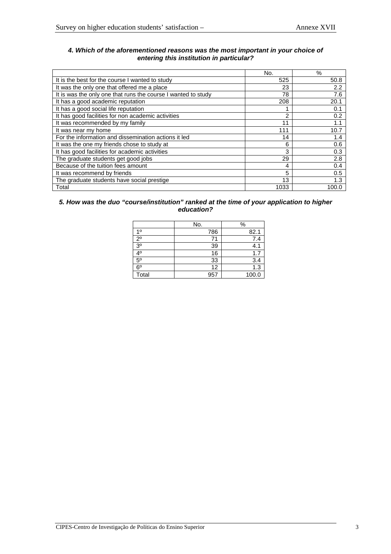## **4. Which of the aforementioned reasons was the most important in your choice of entering this institution in particular?**

|                                                               | No.  | $\%$  |
|---------------------------------------------------------------|------|-------|
| It is the best for the course I wanted to study               | 525  | 50.8  |
| It was the only one that offered me a place                   | 23   | 2.2   |
| It is was the only one that runs the course I wanted to study | 78   | 7.6   |
| It has a good academic reputation                             | 208  | 20.1  |
| It has a good social life reputation                          |      | 0.1   |
| It has good facilities for non academic activities            | 2    | 0.2   |
| It was recommended by my family                               | 11   | 1.1   |
| It was near my home                                           | 111  | 10.7  |
| For the information and dissemination actions it led          | 14   | 1.4   |
| It was the one my friends chose to study at                   | 6    | 0.6   |
| It has good facilities for academic activities                | 3    | 0.3   |
| The graduate students get good jobs                           | 29   | 2.8   |
| Because of the tuition fees amount                            | 4    | 0.4   |
| It was recommend by friends                                   | 5    | 0.5   |
| The graduate students have social prestige                    | 13   | 1.3   |
| Total                                                         | 1033 | 100.0 |

## **5. How was the duo "course/institution" ranked at the time of your application to higher education?**

|                | No. | $\%$  |
|----------------|-----|-------|
| 10             | 786 | 82.1  |
| $2^{\circ}$    | 71  | 7.4   |
| 3 <sup>0</sup> | 39  | 4.1   |
| 4º             | 16  | 1.7   |
| $5^{\circ}$    | 33  | 3.4   |
| $6^{\circ}$    | 12  | 1.3   |
| Total          | 957 | 100.0 |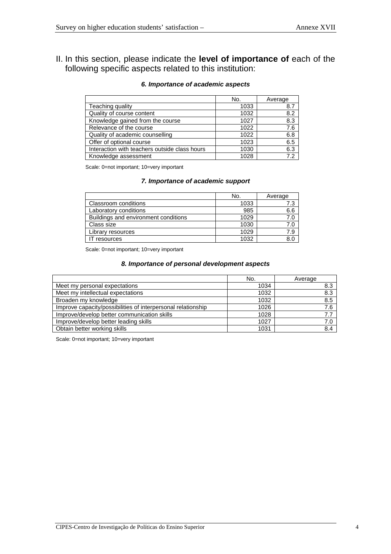II. In this section, please indicate the **level of importance of** each of the following specific aspects related to this institution:

## **6. Importance of academic aspects**

|                                               | No.  | Average |
|-----------------------------------------------|------|---------|
| Teaching quality                              | 1033 | 8.7     |
| Quality of course content                     | 1032 | 8.2     |
| Knowledge gained from the course              | 1027 | 8.3     |
| Relevance of the course                       | 1022 | 7.6     |
| Quality of academic counselling               | 1022 | 6.8     |
| Offer of optional course                      | 1023 | 6.5     |
| Interaction with teachers outside class hours | 1030 | 6.3     |
| Knowledge assessment                          | 1028 | 7.2     |

Scale: 0=not important; 10=very important

## **7. Importance of academic support**

|                                      | No.  | Average |
|--------------------------------------|------|---------|
| Classroom conditions                 | 1033 | 7.3     |
| Laboratory conditions                | 985  | 6.6     |
| Buildings and environment conditions | 1029 | 7.0     |
| Class size                           | 1030 | 7.0     |
| Library resources                    | 1029 | 7.9     |
| <sup>-</sup> resources               | 1032 |         |

Scale: 0=not important; 10=very important

## **8. Importance of personal development aspects**

|                                                              | No.  | Average |
|--------------------------------------------------------------|------|---------|
| Meet my personal expectations                                | 1034 | 8.3     |
| Meet my intellectual expectations                            | 1032 | 8.3     |
| Broaden my knowledge                                         | 1032 | 8.5     |
| Improve capacity/possibilities of interpersonal relationship | 1026 | 7.6     |
| Improve/develop better communication skills                  | 1028 | 7.7     |
| Improve/develop better leading skills                        | 1027 | 7.0     |
| Obtain better working skills                                 | 1031 | 8.4     |

Scale: 0=not important; 10=very important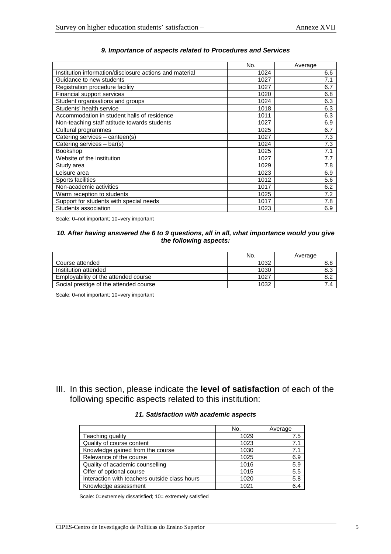|                                                         | No.  | Average |
|---------------------------------------------------------|------|---------|
| Institution information/disclosure actions and material | 1024 | 6.6     |
| Guidance to new students                                | 1027 | 7.1     |
| Registration procedure facility                         | 1027 | 6.7     |
| Financial support services                              | 1020 | 6.8     |
| Student organisations and groups                        | 1024 | 6.3     |
| Students' health service                                | 1018 | 6.3     |
| Accommodation in student halls of residence             | 1011 | 6.3     |
| Non-teaching staff attitude towards students            | 1027 | 6.9     |
| Cultural programmes                                     | 1025 | 6.7     |
| Catering services - canteen(s)                          | 1027 | 7.3     |
| Catering services - bar(s)                              | 1024 | 7.3     |
| Bookshop                                                | 1025 | 7.1     |
| Website of the institution                              | 1027 | 7.7     |
| Study area                                              | 1029 | 7.8     |
| Leisure area                                            | 1023 | 6.9     |
| Sports facilities                                       | 1012 | 5.6     |
| Non-academic activities                                 | 1017 | 6.2     |
| Warm reception to students                              | 1025 | 7.2     |
| Support for students with special needs                 | 1017 | 7.8     |
| Students association                                    | 1023 | 6.9     |

## **9. Importance of aspects related to Procedures and Services**

Scale: 0=not important; 10=very important

## **10. After having answered the 6 to 9 questions, all in all, what importance would you give the following aspects:**

|                                        | No.  | Average |
|----------------------------------------|------|---------|
| Course attended                        | 1032 | o.o     |
| Institution attended                   | 1030 | 8.3     |
| Emplovability of the attended course   | 1027 |         |
| Social prestige of the attended course | 1032 |         |

Scale: 0=not important; 10=very important

III. In this section, please indicate the **level of satisfaction** of each of the following specific aspects related to this institution:

## **11. Satisfaction with academic aspects**

|                                               | No.  | Average |
|-----------------------------------------------|------|---------|
| Teaching quality                              | 1029 | 7.5     |
| Quality of course content                     | 1023 | 7.1     |
| Knowledge gained from the course              | 1030 | 7.1     |
| Relevance of the course                       | 1025 | 6.9     |
| Quality of academic counselling               | 1016 | 5.9     |
| Offer of optional course                      | 1015 | 5.5     |
| Interaction with teachers outside class hours | 1020 | 5.8     |
| Knowledge assessment                          | 1021 | 6.4     |

Scale: 0=extremely dissatisfied; 10= extremely satisfied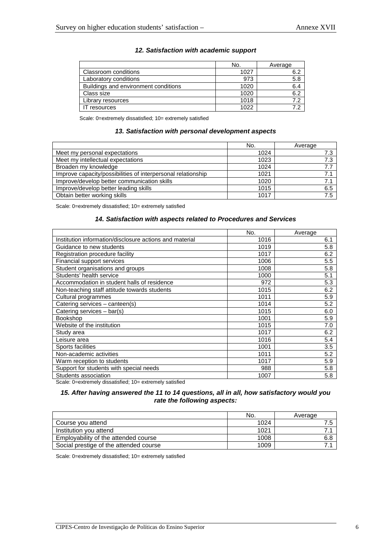|                                      | No.  | Average |
|--------------------------------------|------|---------|
| Classroom conditions                 | 1027 | 6.2     |
| Laboratory conditions                | 973  | 5.8     |
| Buildings and environment conditions | 1020 | 6.4     |
| Class size                           | 1020 | 6.2     |
| Library resources                    | 1018 | 72      |
| resources                            | 1022 |         |

## **12. Satisfaction with academic support**

Scale: 0=extremely dissatisfied; 10= extremely satisfied

### **13. Satisfaction with personal development aspects**

|                                                              | No.  | Average |
|--------------------------------------------------------------|------|---------|
| Meet my personal expectations                                | 1024 | 7.3     |
| Meet my intellectual expectations                            | 1023 | 7.3     |
| Broaden my knowledge                                         | 1024 | 7.7     |
| Improve capacity/possibilities of interpersonal relationship | 1021 | 7.1     |
| Improve/develop better communication skills                  | 1020 | 7.1     |
| Improve/develop better leading skills                        | 1015 | 6.5     |
| Obtain better working skills                                 | 1017 | 7.5     |

Scale: 0=extremely dissatisfied; 10= extremely satisfied

## **14. Satisfaction with aspects related to Procedures and Services**

|                                                         | No.  | Average |
|---------------------------------------------------------|------|---------|
| Institution information/disclosure actions and material | 1016 | 6.1     |
| Guidance to new students                                | 1019 | 5.8     |
| Registration procedure facility                         | 1017 | 6.2     |
| Financial support services                              | 1006 | 5.5     |
| Student organisations and groups                        | 1008 | 5.8     |
| Students' health service                                | 1000 | 5.1     |
| Accommodation in student halls of residence             | 972  | 5.3     |
| Non-teaching staff attitude towards students            | 1015 | 6.2     |
| Cultural programmes                                     | 1011 | 5.9     |
| Catering services - canteen(s)                          | 1014 | 5.2     |
| Catering services - bar(s)                              | 1015 | 6.0     |
| <b>Bookshop</b>                                         | 1001 | 5.9     |
| Website of the institution                              | 1015 | 7.0     |
| Study area                                              | 1017 | 6.2     |
| Leisure area                                            | 1016 | 5.4     |
| Sports facilities                                       | 1001 | 3.5     |
| Non-academic activities                                 | 1011 | 5.2     |
| Warm reception to students                              | 1017 | 5.9     |
| Support for students with special needs                 | 988  | 5.8     |
| Students association                                    | 1007 | 5.8     |

Scale: 0=extremely dissatisfied; 10= extremely satisfied

## **15. After having answered the 11 to 14 questions, all in all, how satisfactory would you rate the following aspects:**

|                                        | No.  | Average |
|----------------------------------------|------|---------|
| Course you attend                      | 1024 |         |
| Institution you attend                 | 1021 |         |
| Employability of the attended course   | 1008 | 6.8     |
| Social prestige of the attended course | 1009 |         |

Scale: 0=extremely dissatisfied; 10= extremely satisfied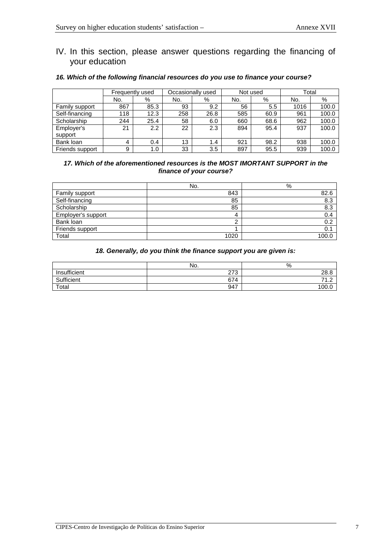## IV. In this section, please answer questions regarding the financing of your education

#### Frequently used | Occasionally used | Not used | Total No. | % | No. | % | No. | % | No. | % Family support 867 85.3 93 9.2 56 5.5 1016 100.0<br>Self-financing 118 12.3 258 26.8 585 60.9 961 100.0 Self-financing 118 12.3 258 26.8 585 60.9 961 100.0<br>Scholarship 244 25.4 58 6.0 660 68.6 962 100.0 Scholarship 244 25.4 58 6.0 660 68.6 Employer's support 21 2.2 22 2.3 894 95.4 937 100.0 Bank loan 4 0.4 13 1.4 921 98.2 938 100.0 Friends support | 9 | 1.0 | 33 | 3.5 | 897 | 95.5 | 939 | 100.0

## **16. Which of the following financial resources do you use to finance your course?**

## **17. Which of the aforementioned resources is the MOST IMORTANT SUPPORT in the finance of your course?**

|                    | No.  | %    |
|--------------------|------|------|
| Family support     | 843  | 82.6 |
| Self-financing     | 85   | 8.3  |
| Scholarship        | 85   | 8.3  |
| Employer's support | 4    | 0.4  |
| Bank loan          | ົ    | 0.2  |
| Friends support    |      | 0.1  |
| Total              | 1020 | 100. |

## **18. Generally, do you think the finance support you are given is:**

|              | No. | %            |
|--------------|-----|--------------|
| Insufficient | 273 | 28.8         |
| Sufficient   | 674 | $\sim$<br>74 |
| Total        | 947 | 100.0        |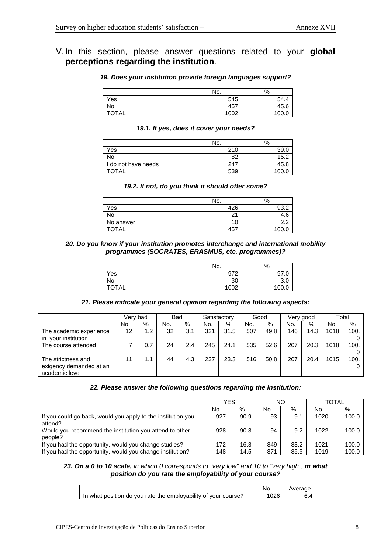## **19. Does your institution provide foreign languages support?**

|              | No.  | %    |
|--------------|------|------|
| Yes          | 545  | 54.4 |
| No           | 457  | 45.6 |
| <b>TOTAL</b> | 1002 | 100. |

## **19.1. If yes, does it cover your needs?**

|                     | No. | %     |
|---------------------|-----|-------|
| Yes                 | 210 | 39.0  |
| No                  | 82  | 152.  |
| I do not have needs | 247 | 45.8  |
| <b>TOTAL</b>        | 539 | 100.C |

## **19.2. If not, do you think it should offer some?**

|           | No.    | %               |
|-----------|--------|-----------------|
| ∨es       | 426    | റാറ             |
| <b>No</b> | $\sim$ |                 |
| No answer | 10     | ◠<br>$\sqrt{2}$ |
| ∩⊤∆       | 457    | ഹ               |

## **20. Do you know if your institution promotes interchange and international mobility programmes (SOCRATES, ERASMUS, etc. programmes)?**

|              | No.  | %   |
|--------------|------|-----|
| Yes          | 972  | 07  |
| <b>No</b>    | 30   | J.  |
| <b>TOTAL</b> | 1002 | 100 |

## **21. Please indicate your general opinion regarding the following aspects:**

|                                                                 |     | Verv bad | <b>Bad</b> |     | Satisfactory |      | Good |      | Very good |      | Total |      |
|-----------------------------------------------------------------|-----|----------|------------|-----|--------------|------|------|------|-----------|------|-------|------|
|                                                                 | No. | %        | No.        | %   | No.          | %    | No.  | %    | No.       | %    | No.   | %    |
| The academic experience<br>vour institution<br>$\mathsf{I}$     | 12  | 1.2      | 32         | 3.1 | 321          | 31.5 | 507  | 49.8 | 146       | 14.3 | 1018  | 100. |
| The course attended                                             |     | 0.7      | 24         | 2.4 | 245          | 24.1 | 535  | 52.6 | 207       | 20.3 | 1018  | 100. |
| The strictness and<br>exigency demanded at an<br>academic level | 11  | 1.1      | 44         | 4.3 | 237          | 23.3 | 516  | 50.8 | 207       | 20.4 | 1015  | 100. |

## **22. Please answer the following questions regarding the institution:**

|                                                              | YES |      | NΟ  |      | <b>TOTAL</b> |       |
|--------------------------------------------------------------|-----|------|-----|------|--------------|-------|
|                                                              | No. | %    | No. | %    | No.          | %     |
| If you could go back, would you apply to the institution you | 927 | 90.9 | 93  | 9.1  | 1020         | 100.0 |
| attend?                                                      |     |      |     |      |              |       |
| Would you recommend the institution you attend to other      |     | 90.8 | 94  | 9.2  | 1022         | 100.0 |
| people?                                                      |     |      |     |      |              |       |
| If you had the opportunity, would you change studies?        | 172 | 16.8 | 849 | 83.2 | 1021         | 100.0 |
| If you had the opportunity, would you change institution?    | 148 | 14.5 | 871 | 85.5 | 1019         | 100.0 |

## **23. On a 0 to 10 scale,** in which 0 corresponds to "very low" and 10 to "very high", **in what position do you rate the employability of your course?**

|                                                                | Average |
|----------------------------------------------------------------|---------|
| In what position do you rate the emplovability of your course? |         |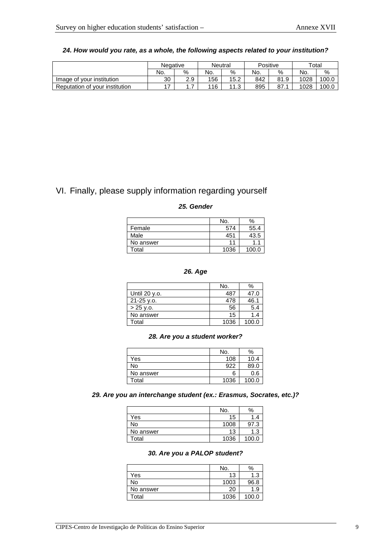|                                | Negative |      | Neutral |      | Positive |      |      | Total |
|--------------------------------|----------|------|---------|------|----------|------|------|-------|
|                                | No.      | $\%$ | No.     | %    | No.      | %    | No.  | %     |
| Image of your institution      | 30       | 2.9  | 156     | 15.2 | 842      | 81.9 | 1028 | 100.0 |
| Reputation of your institution | 17       | .    | 116     | 11 2 | 895      | 87.  | 1028 | 100.0 |

## **24. How would you rate, as a whole, the following aspects related to your institution?**

# VI. Finally, please supply information regarding yourself

## **25. Gender**

|           | No.  | %     |
|-----------|------|-------|
| Female    | 574  | 55.4  |
| Male      | 451  | 43.5  |
| No answer | 11   | 1.1   |
| Total     | 1036 | 100.0 |

## **26. Age**

|               | No.  | ℅     |
|---------------|------|-------|
| Until 20 y.o. | 487  | 47.0  |
| 21-25 v.o.    | 478  | 46.1  |
| $> 25$ y.o.   | 56   | 5.4   |
| No answer     | 15   | 1.4   |
| Total         | 1036 | 100.0 |

### **28. Are you a student worker?**

|           | No.  | %     |
|-----------|------|-------|
| Yes       | 108  | 10.4  |
| No        | 922  | 89.0  |
| No answer | 6    | 0.6   |
| Total     | 1036 | 100.0 |

## **29. Are you an interchange student (ex.: Erasmus, Socrates, etc.)?**

|           | No.  | %     |
|-----------|------|-------|
| Yes       | 15   | 1.4   |
| No        | 1008 | 97.3  |
| No answer | 13   | 1.3   |
| Total     | 1036 | 100.0 |

## **30. Are you a PALOP student?**

|           | No.  | %     |
|-----------|------|-------|
| Yes       | 13   | 1.3   |
| No        | 1003 | 96.8  |
| No answer | 20   | 1.9   |
| Total     | 1036 | 100.0 |